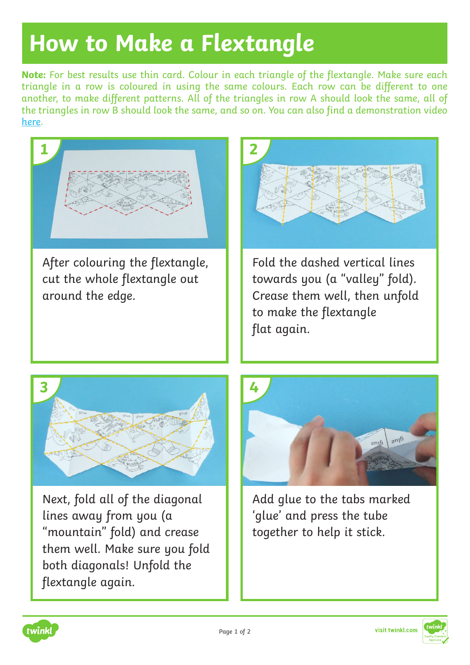## **How to Make a Flextangle**

**Note:** For best results use thin card. Colour in each triangle of the flextangle. Make sure each triangle in a row is coloured in using the same colours. Each row can be different to one another, to make different patterns. All of the triangles in row A should look the same, all of the triangles in row B should look the same, and so on. You can also find a demonstration video [here](http://www.twinkl.co.uk/resource/t2-t-16853-how-to-make-a-flextangle-video-1).



After colouring the flextangle, cut the whole flextangle out around the edge.



Fold the dashed vertical lines towards you (a "valley" fold). Crease them well, then unfold to make the flextangle flat again.



Next, fold all of the diagonal lines away from you (a "mountain" fold) and crease them well. Make sure you fold both diagonals! Unfold the flextangle again.



Add glue to the tabs marked 'glue' and press the tube together to help it stick.



visit twinkl.com